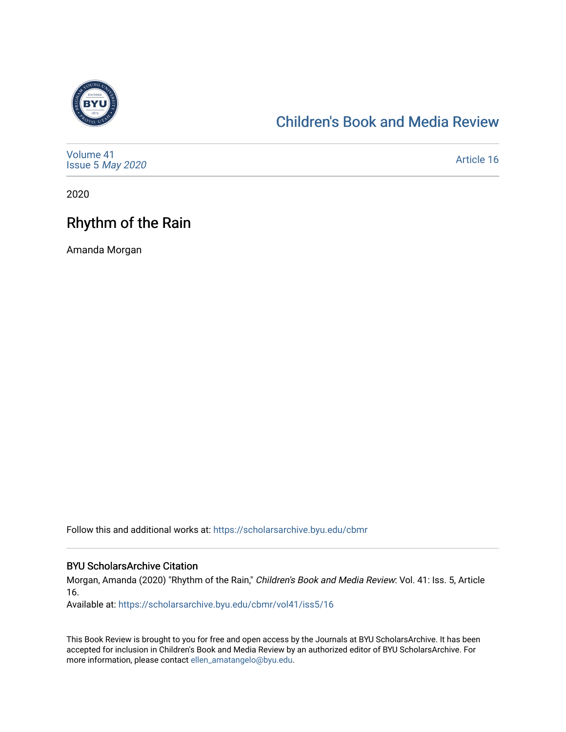

## [Children's Book and Media Review](https://scholarsarchive.byu.edu/cbmr)

| Volume 41<br>Issue 5 May 2020 | Article 16 |
|-------------------------------|------------|
|-------------------------------|------------|

2020

## Rhythm of the Rain

Amanda Morgan

Follow this and additional works at: [https://scholarsarchive.byu.edu/cbmr](https://scholarsarchive.byu.edu/cbmr?utm_source=scholarsarchive.byu.edu%2Fcbmr%2Fvol41%2Fiss5%2F16&utm_medium=PDF&utm_campaign=PDFCoverPages) 

## BYU ScholarsArchive Citation

Morgan, Amanda (2020) "Rhythm of the Rain," Children's Book and Media Review: Vol. 41: Iss. 5, Article 16.

Available at: [https://scholarsarchive.byu.edu/cbmr/vol41/iss5/16](https://scholarsarchive.byu.edu/cbmr/vol41/iss5/16?utm_source=scholarsarchive.byu.edu%2Fcbmr%2Fvol41%2Fiss5%2F16&utm_medium=PDF&utm_campaign=PDFCoverPages)

This Book Review is brought to you for free and open access by the Journals at BYU ScholarsArchive. It has been accepted for inclusion in Children's Book and Media Review by an authorized editor of BYU ScholarsArchive. For more information, please contact [ellen\\_amatangelo@byu.edu.](mailto:ellen_amatangelo@byu.edu)